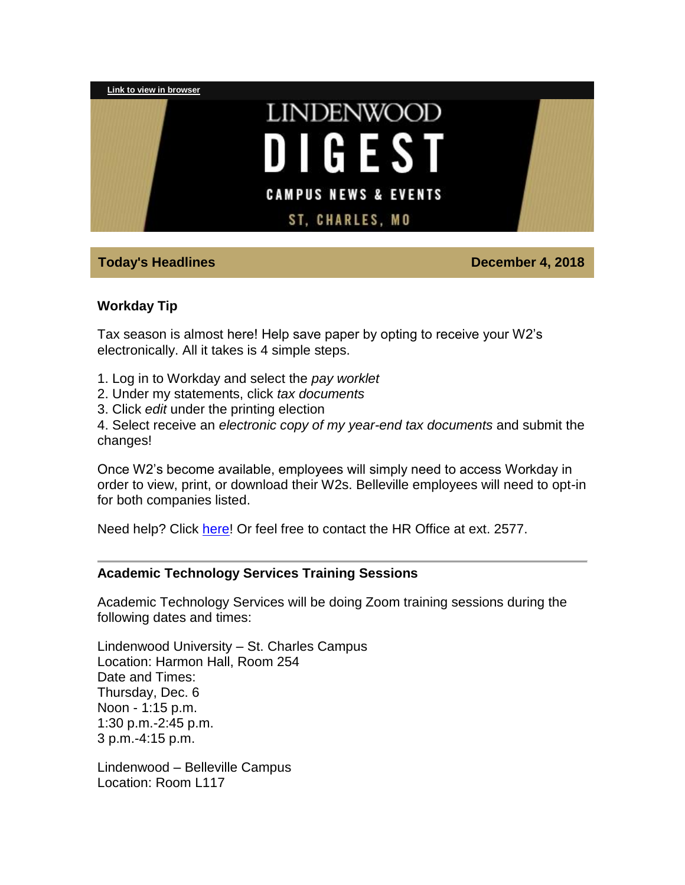

# **Today's Headlines December 4, 2018**

### **Workday Tip**

Tax season is almost here! Help save paper by opting to receive your W2's electronically. All it takes is 4 simple steps.

- 1. Log in to Workday and select the *pay worklet*
- 2. Under my statements, click *tax documents*
- 3. Click *edit* under the printing election

4. Select receive an *electronic copy of my year-end tax documents* and submit the changes!

Once W2's become available, employees will simply need to access Workday in order to view, print, or download their W2s. Belleville employees will need to opt-in for both companies listed.

Need help? Click [here!](https://hes32-ctp.trendmicro.com/wis/clicktime/v1/query?url=https%3a%2f%2fcustapp.marketvolt.com%2flink%2fQFqIkgZ4lk%3fCM%3d1248260913%26X%3d18314661&umid=7c85d47b-dba0-4700-8083-5d40f0dbfed3&auth=bc7ac43e330fa629f0cfb11786c85e83c10d06b8-b4109fe6a69e555500a158b246457f1d5c167ee9) Or feel free to contact the HR Office at ext. 2577.

### **Academic Technology Services Training Sessions**

Academic Technology Services will be doing Zoom training sessions during the following dates and times:

Lindenwood University – St. Charles Campus Location: Harmon Hall, Room 254 Date and Times: Thursday, Dec. 6 Noon - 1:15 p.m. 1:30 p.m.-2:45 p.m. 3 p.m.-4:15 p.m.

Lindenwood – Belleville Campus Location: Room L117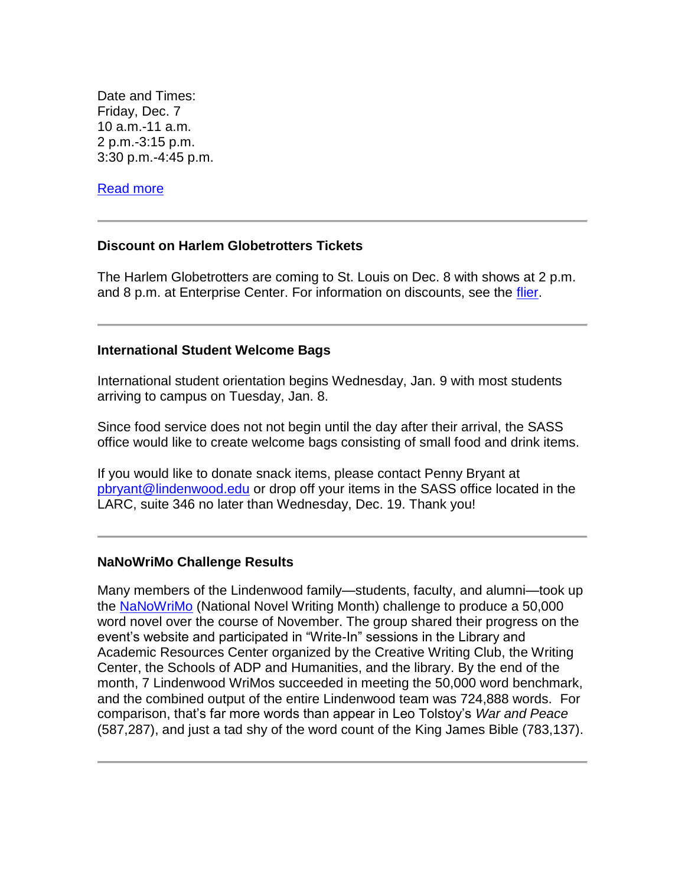Date and Times: Friday, Dec. 7 10 a.m.-11 a.m. 2 p.m.-3:15 p.m. 3:30 p.m.-4:45 p.m.

[Read more](https://hes32-ctp.trendmicro.com/wis/clicktime/v1/query?url=https%3a%2f%2fcustapp.marketvolt.com%2flink%2fHZU7oRnbUB%3fCM%3d1248260913%26X%3d18314661&umid=7c85d47b-dba0-4700-8083-5d40f0dbfed3&auth=bc7ac43e330fa629f0cfb11786c85e83c10d06b8-7ef17e4edbb1b1d43ae492474ea9e7c622acdf46)

### **Discount on Harlem Globetrotters Tickets**

The Harlem Globetrotters are coming to St. Louis on Dec. 8 with shows at 2 p.m. and 8 p.m. at Enterprise Center. For information on discounts, see the [flier.](https://hes32-ctp.trendmicro.com/wis/clicktime/v1/query?url=https%3a%2f%2fcustapp.marketvolt.com%2flink%2fLyxdbfz9xQ%3fCM%3d1248260913%26X%3d18314661&umid=7c85d47b-dba0-4700-8083-5d40f0dbfed3&auth=bc7ac43e330fa629f0cfb11786c85e83c10d06b8-040bf49b1157b5fe73a8363203545cf41c6cbadc)

### **International Student Welcome Bags**

International student orientation begins Wednesday, Jan. 9 with most students arriving to campus on Tuesday, Jan. 8.

Since food service does not not begin until the day after their arrival, the SASS office would like to create welcome bags consisting of small food and drink items.

If you would like to donate snack items, please contact Penny Bryant at [pbryant@lindenwood.edu](mailto:pbryant@lindenwood.edu) or drop off your items in the SASS office located in the LARC, suite 346 no later than Wednesday, Dec. 19. Thank you!

### **NaNoWriMo Challenge Results**

Many members of the Lindenwood family—students, faculty, and alumni—took up the [NaNoWriMo](https://hes32-ctp.trendmicro.com/wis/clicktime/v1/query?url=https%3a%2f%2fcustapp.marketvolt.com%2flink%2fMILpFg94aP%3fCM%3d1248260913%26X%3d18314661&umid=7c85d47b-dba0-4700-8083-5d40f0dbfed3&auth=bc7ac43e330fa629f0cfb11786c85e83c10d06b8-eaa1a7d27395e085630976c6767c078db0577c19) (National Novel Writing Month) challenge to produce a 50,000 word novel over the course of November. The group shared their progress on the event's website and participated in "Write-In" sessions in the Library and Academic Resources Center organized by the Creative Writing Club, the Writing Center, the Schools of ADP and Humanities, and the library. By the end of the month, 7 Lindenwood WriMos succeeded in meeting the 50,000 word benchmark, and the combined output of the entire Lindenwood team was 724,888 words. For comparison, that's far more words than appear in Leo Tolstoy's *War and Peace* (587,287), and just a tad shy of the word count of the King James Bible (783,137).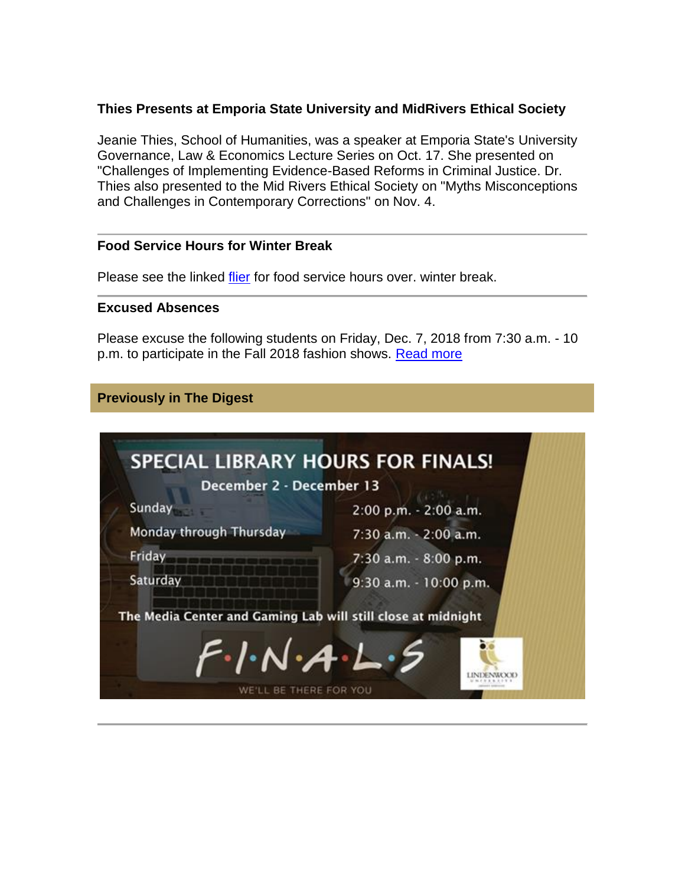# **Thies Presents at Emporia State University and MidRivers Ethical Society**

Jeanie Thies, School of Humanities, was a speaker at Emporia State's University Governance, Law & Economics Lecture Series on Oct. 17. She presented on "Challenges of Implementing Evidence-Based Reforms in Criminal Justice. Dr. Thies also presented to the Mid Rivers Ethical Society on "Myths Misconceptions and Challenges in Contemporary Corrections" on Nov. 4.

### **Food Service Hours for Winter Break**

Please see the linked [flier](https://hes32-ctp.trendmicro.com/wis/clicktime/v1/query?url=https%3a%2f%2fcustapp.marketvolt.com%2flink%2fnuhEh8HF1l%3fCM%3d1248260913%26X%3d18314661&umid=7c85d47b-dba0-4700-8083-5d40f0dbfed3&auth=bc7ac43e330fa629f0cfb11786c85e83c10d06b8-def696eacbeae19b070fc88b60709dbc6eab9ffe) for food service hours over. winter break.

### **Excused Absences**

Please excuse the following students on Friday, Dec. 7, 2018 from 7:30 a.m. - 10 p.m. to participate in the Fall 2018 fashion shows. [Read more](https://hes32-ctp.trendmicro.com/wis/clicktime/v1/query?url=https%3a%2f%2fcustapp.marketvolt.com%2flink%2ftPXEnehtz2%3fCM%3d1248260913%26X%3d18314661&umid=7c85d47b-dba0-4700-8083-5d40f0dbfed3&auth=bc7ac43e330fa629f0cfb11786c85e83c10d06b8-a8c07f25a04b935746dec8602d9c12d357145e59)

# **Previously in The Digest**

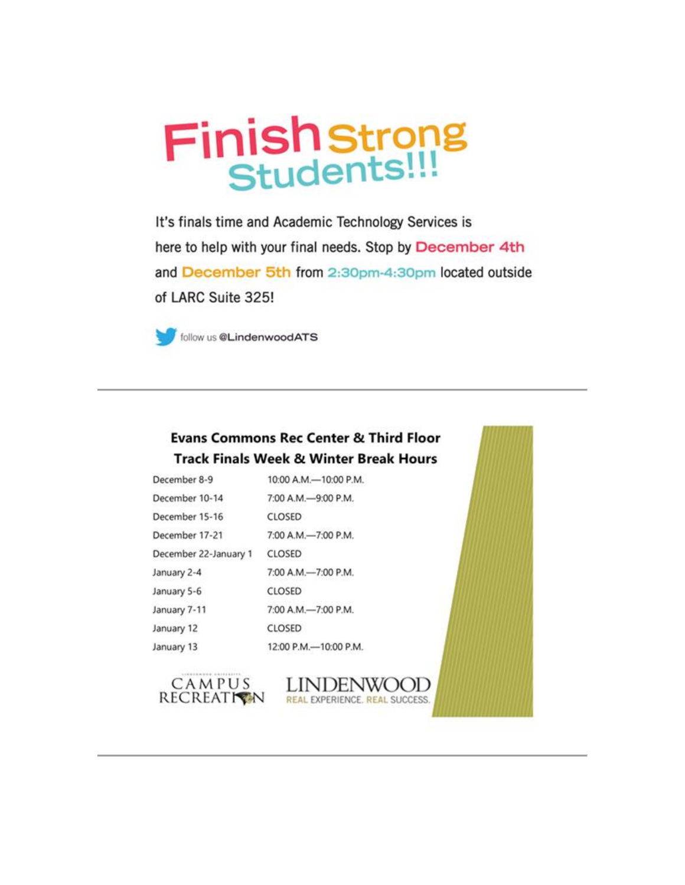# **Finish strong**<br>Students!!!

It's finals time and Academic Technology Services is here to help with your final needs. Stop by December 4th and December 5th from 2:30pm-4:30pm located outside of LARC Suite 325!



follow us @LindenwoodATS

# **Evans Commons Rec Center & Third Floor Track Finals Week & Winter Break Hours**

| December 8-9          | 10:00 A.M.-10:00 P.M. |
|-----------------------|-----------------------|
| December 10-14        | 7:00 A.M.-9:00 P.M.   |
| December 15-16        | CLOSED                |
| December 17-21        | 7:00 A.M.-7:00 P.M.   |
| December 22-January 1 | CLOSED                |
| January 2-4           | 7:00 A.M.-7:00 P.M.   |
| January 5-6           | CLOSED                |
| January 7-11          | 7:00 A.M.-7:00 P.M.   |
| January 12            | CLOSED                |
| January 13            | 12:00 P.M.-10:00 P.M. |



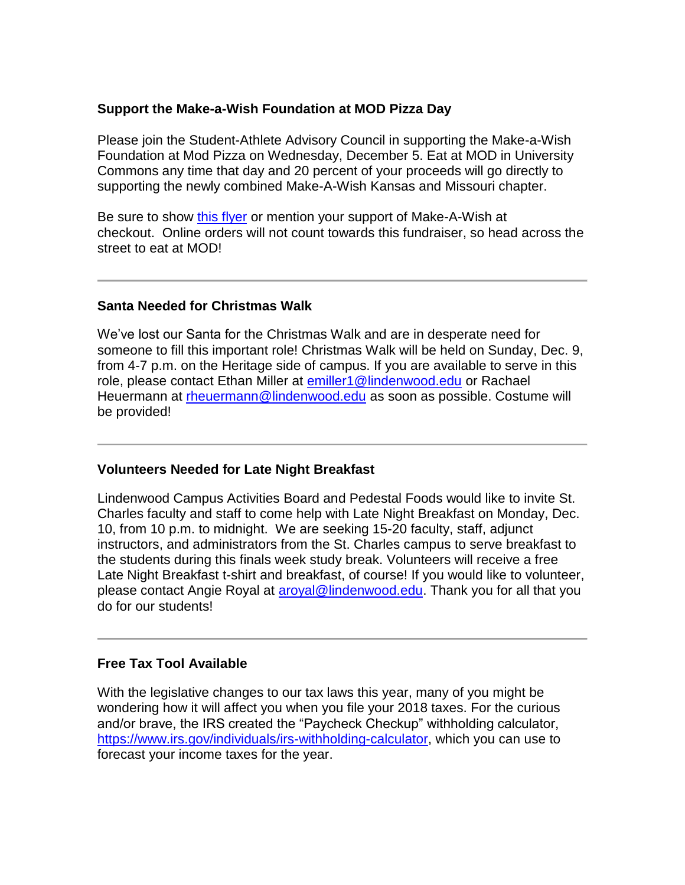# **Support the Make-a-Wish Foundation at MOD Pizza Day**

Please join the Student-Athlete Advisory Council in supporting the Make-a-Wish Foundation at Mod Pizza on Wednesday, December 5. Eat at MOD in University Commons any time that day and 20 percent of your proceeds will go directly to supporting the newly combined Make-A-Wish Kansas and Missouri chapter.

Be sure to show [this flyer](https://hes32-ctp.trendmicro.com/wis/clicktime/v1/query?url=https%3a%2f%2fcustapp.marketvolt.com%2flink%2fg8xFLBdiCI%3fCM%3d1248260913%26X%3d18314661&umid=7c85d47b-dba0-4700-8083-5d40f0dbfed3&auth=bc7ac43e330fa629f0cfb11786c85e83c10d06b8-1d763c18b09c541ebe5cb09b8b85215b06dc85d1) or mention your support of Make-A-Wish at checkout. Online orders will not count towards this fundraiser, so head across the street to eat at MOD!

# **Santa Needed for Christmas Walk**

We've lost our Santa for the Christmas Walk and are in desperate need for someone to fill this important role! Christmas Walk will be held on Sunday, Dec. 9, from 4-7 p.m. on the Heritage side of campus. If you are available to serve in this role, please contact Ethan Miller at **emiller1@lindenwood.edu** or Rachael Heuermann at [rheuermann@lindenwood.edu](mailto:rheuermann@lindenwood.edu) as soon as possible. Costume will be provided!

# **Volunteers Needed for Late Night Breakfast**

Lindenwood Campus Activities Board and Pedestal Foods would like to invite St. Charles faculty and staff to come help with Late Night Breakfast on Monday, Dec. 10, from 10 p.m. to midnight. We are seeking 15-20 faculty, staff, adjunct instructors, and administrators from the St. Charles campus to serve breakfast to the students during this finals week study break. Volunteers will receive a free Late Night Breakfast t-shirt and breakfast, of course! If you would like to volunteer, please contact Angie Royal at [aroyal@lindenwood.edu.](mailto:aroyal@lindenwood.edu) Thank you for all that you do for our students!

### **Free Tax Tool Available**

With the legislative changes to our tax laws this year, many of you might be wondering how it will affect you when you file your 2018 taxes. For the curious and/or brave, the IRS created the "Paycheck Checkup" withholding calculator, [https://www.irs.gov/individuals/irs-withholding-calculator,](https://hes32-ctp.trendmicro.com/wis/clicktime/v1/query?url=https%3a%2f%2fcustapp.marketvolt.com%2flink%2ftdnGaIybKr%3fCM%3d1248260913%26X%3d18314661&umid=7c85d47b-dba0-4700-8083-5d40f0dbfed3&auth=bc7ac43e330fa629f0cfb11786c85e83c10d06b8-1ce0109ad4055d17f58f0165a17ca717f4bd4c70) which you can use to forecast your income taxes for the year.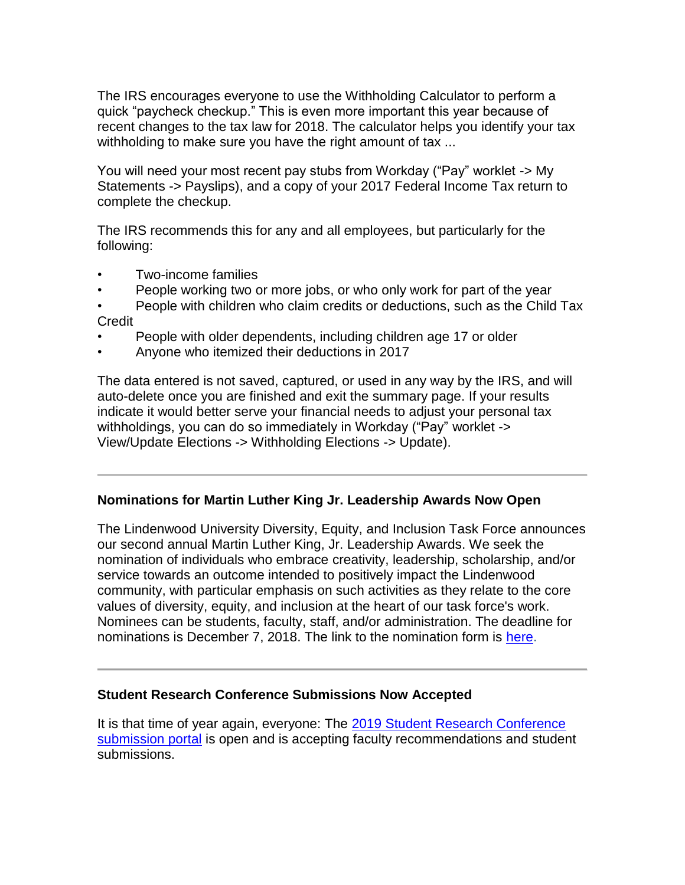The IRS encourages everyone to use the Withholding Calculator to perform a quick "paycheck checkup." This is even more important this year because of recent changes to the tax law for 2018. The calculator helps you identify your tax withholding to make sure you have the right amount of tax ...

You will need your most recent pay stubs from Workday ("Pay" worklet -> My Statements -> Payslips), and a copy of your 2017 Federal Income Tax return to complete the checkup.

The IRS recommends this for any and all employees, but particularly for the following:

- Two-income families
- People working two or more jobs, or who only work for part of the year
- People with children who claim credits or deductions, such as the Child Tax Credit
- People with older dependents, including children age 17 or older
- Anyone who itemized their deductions in 2017

The data entered is not saved, captured, or used in any way by the IRS, and will auto-delete once you are finished and exit the summary page. If your results indicate it would better serve your financial needs to adjust your personal tax withholdings, you can do so immediately in Workday ("Pay" worklet -> View/Update Elections -> Withholding Elections -> Update).

# **Nominations for Martin Luther King Jr. Leadership Awards Now Open**

The Lindenwood University Diversity, Equity, and Inclusion Task Force announces our second annual Martin Luther King, Jr. Leadership Awards. We seek the nomination of individuals who embrace creativity, leadership, scholarship, and/or service towards an outcome intended to positively impact the Lindenwood community, with particular emphasis on such activities as they relate to the core values of diversity, equity, and inclusion at the heart of our task force's work. Nominees can be students, faculty, staff, and/or administration. The deadline for nominations is December 7, 2018. The link to the nomination form is [here.](https://hes32-ctp.trendmicro.com/wis/clicktime/v1/query?url=https%3a%2f%2fcustapp.marketvolt.com%2flink%2fznFRi6LEPs%3fCM%3d1248260913%26X%3d18314661&umid=7c85d47b-dba0-4700-8083-5d40f0dbfed3&auth=bc7ac43e330fa629f0cfb11786c85e83c10d06b8-977b9b83c60b6abafc9caa5cc0347b5a520ef0cb)

# **Student Research Conference Submissions Now Accepted**

It is that time of year again, everyone: The [2019 Student Research Conference](https://hes32-ctp.trendmicro.com/wis/clicktime/v1/query?url=https%3a%2f%2fcustapp.marketvolt.com%2flink%2fnpq41H9bg3%3fCM%3d1248260913%26X%3d18314661&umid=7c85d47b-dba0-4700-8083-5d40f0dbfed3&auth=bc7ac43e330fa629f0cfb11786c85e83c10d06b8-bf921d6d88928ed9bfab0f6d584acf9deffa4ef1)  [submission portal](https://hes32-ctp.trendmicro.com/wis/clicktime/v1/query?url=https%3a%2f%2fcustapp.marketvolt.com%2flink%2fnpq41H9bg3%3fCM%3d1248260913%26X%3d18314661&umid=7c85d47b-dba0-4700-8083-5d40f0dbfed3&auth=bc7ac43e330fa629f0cfb11786c85e83c10d06b8-bf921d6d88928ed9bfab0f6d584acf9deffa4ef1) is open and is accepting faculty recommendations and student submissions.